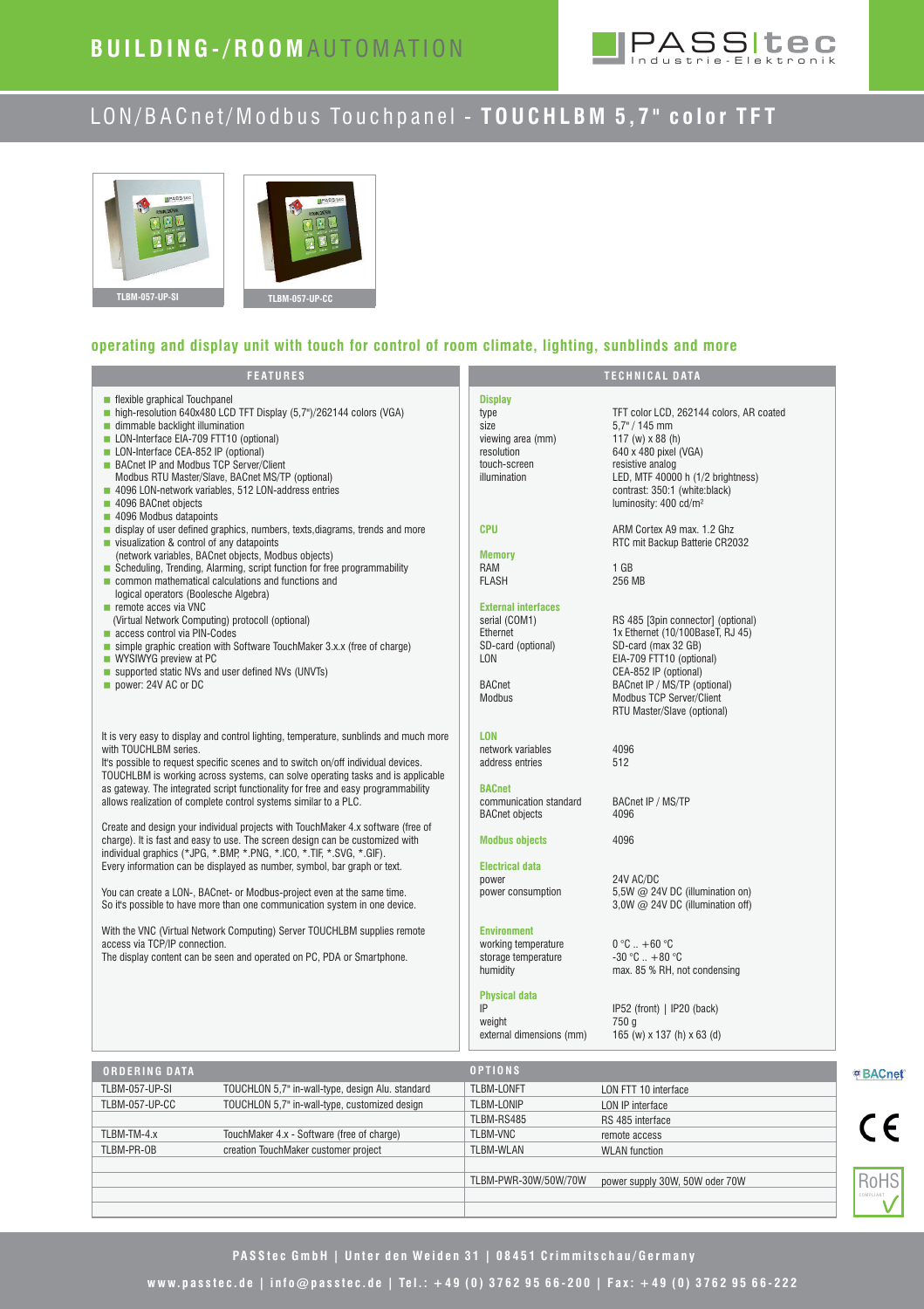

# LON/BACnet/Modbus Touchpanel - TOUCHLBM 5,7" color TFT



# **operating and display unit with touch for control of room climate, lighting, sunblinds and more**

| <b>FEATURES</b>                                                                                                                                                                                                                                                                                                                                                                                                                                 |                                                                                                                 | <b>TECHNICAL DATA</b>                                                                                                                                                                                                                         |
|-------------------------------------------------------------------------------------------------------------------------------------------------------------------------------------------------------------------------------------------------------------------------------------------------------------------------------------------------------------------------------------------------------------------------------------------------|-----------------------------------------------------------------------------------------------------------------|-----------------------------------------------------------------------------------------------------------------------------------------------------------------------------------------------------------------------------------------------|
| ■ flexible graphical Touchpanel<br>high-resolution 640x480 LCD TFT Display (5.7")/262144 colors (VGA)<br>dimmable backlight illumination<br>LON-Interface EIA-709 FTT10 (optional)<br>LON-Interface CEA-852 IP (optional)<br>BACnet IP and Modbus TCP Server/Client<br>Modbus RTU Master/Slave, BACnet MS/TP (optional)<br>4096 LON-network variables, 512 LON-address entries<br>4096 BACnet objects<br>4096 Modbus datapoints                 | <b>Display</b><br>type<br>size<br>viewing area (mm)<br>resolution<br>touch-screen<br>illumination               | TFT color LCD, 262144 colors, AR coated<br>$5.7" / 145$ mm<br>117 (w) $x 88$ (h)<br>640 x 480 pixel (VGA)<br>resistive analog<br>LED, MTF 40000 h (1/2 brightness)<br>contrast: 350:1 (white:black)<br>luminosity: 400 cd/m <sup>2</sup>      |
| display of user defined graphics, numbers, texts, diagrams, trends and more<br>visualization & control of any datapoints<br>(network variables, BACnet objects, Modbus objects)<br>Scheduling, Trending, Alarming, script function for free programmability<br>common mathematical calculations and functions and<br>logical operators (Boolesche Algebra)                                                                                      | <b>CPU</b><br><b>Memory</b><br>RAM<br><b>FLASH</b>                                                              | ARM Cortex A9 max. 1.2 Ghz<br>RTC mit Backup Batterie CR2032<br>$1$ GB<br>256 MB                                                                                                                                                              |
| $\blacksquare$ remote acces via VNC<br>(Virtual Network Computing) protocoll (optional)<br>access control via PIN-Codes<br>simple graphic creation with Software TouchMaker 3.x.x (free of charge)<br>WYSIWYG preview at PC<br>supported static NVs and user defined NVs (UNVTs)<br>power: 24V AC or DC                                                                                                                                         | <b>External interfaces</b><br>serial (COM1)<br>Ethernet<br>SD-card (optional)<br>LON<br><b>BACnet</b><br>Modbus | RS 485 [3pin connector] (optional)<br>1x Ethernet (10/100BaseT, RJ 45)<br>SD-card (max 32 GB)<br>EIA-709 FTT10 (optional)<br>CEA-852 IP (optional)<br>BACnet IP / MS/TP (optional)<br>Modbus TCP Server/Client<br>RTU Master/Slave (optional) |
| It is very easy to display and control lighting, temperature, sunblinds and much more<br>with TOUCHLBM series.<br>It's possible to request specific scenes and to switch on/off individual devices.<br>TOUCHLBM is working across systems, can solve operating tasks and is applicable<br>as gateway. The integrated script functionality for free and easy programmability<br>allows realization of complete control systems similar to a PLC. | <b>LON</b><br>network variables<br>address entries<br><b>BACnet</b><br>communication standard                   | 4096<br>512<br>BACnet IP / MS/TP                                                                                                                                                                                                              |
| Create and design your individual projects with TouchMaker 4.x software (free of<br>charge). It is fast and easy to use. The screen design can be customized with<br>individual graphics (*JPG, *.BMP, *.PNG, *.ICO, *.TIF, *.SVG, *.GIF).<br>Every information can be displayed as number, symbol, bar graph or text.<br>You can create a LON-, BACnet- or Modbus-project even at the same time.                                               | <b>BACnet objects</b><br><b>Modbus objects</b><br><b>Electrical data</b><br>power<br>power consumption          | 4096<br>4096<br>24V AC/DC<br>5,5W @ 24V DC (illumination on)                                                                                                                                                                                  |
| So it's possible to have more than one communication system in one device.<br>With the VNC (Virtual Network Computing) Server TOUCHLBM supplies remote<br>access via TCP/IP connection.<br>The display content can be seen and operated on PC, PDA or Smartphone.                                                                                                                                                                               | <b>Environment</b><br>working temperature<br>storage temperature<br>humidity                                    | 3,0W $@$ 24V DC (illumination off)<br>$0^{\circ}$ C $. +60^{\circ}$ C<br>$-30 °C$ $+80 °C$<br>max. 85 % RH, not condensing                                                                                                                    |
|                                                                                                                                                                                                                                                                                                                                                                                                                                                 | <b>Physical data</b><br>IP<br>weight<br>external dimensions (mm)                                                | IP52 (front)   IP20 (back)<br>750 g<br>165 (w) x 137 (h) x 63 (d)                                                                                                                                                                             |
| <b>ORDERING DATA</b>                                                                                                                                                                                                                                                                                                                                                                                                                            | <b>OPTIONS</b>                                                                                                  |                                                                                                                                                                                                                                               |
| <b>TLBM-057-UP-SI</b><br>TOUCHLON 5,7" in-wall-type, design Alu. standard<br>TOUCHLON 5,7" in-wall-type, customized design<br>TLBM-057-UP-CC                                                                                                                                                                                                                                                                                                    | TLBM-LONFT<br><b>TLBM-LONIP</b>                                                                                 | LON FTT 10 interface<br>LON IP interface                                                                                                                                                                                                      |



PASStec GmbH | Unter den Weiden 31 | 08451 Crimmitschau/Germany

**w w w. p a s s t e c . d e | i n f o @ p a s s t e c . d e | Te l . : + 4 9 ( 0 ) 3 7 6 2 9 5 6 6 - 2 0 0 | F a x : + 4 9 ( 0 ) 3 7 6 2 9 5 6 6 - 2 2 2**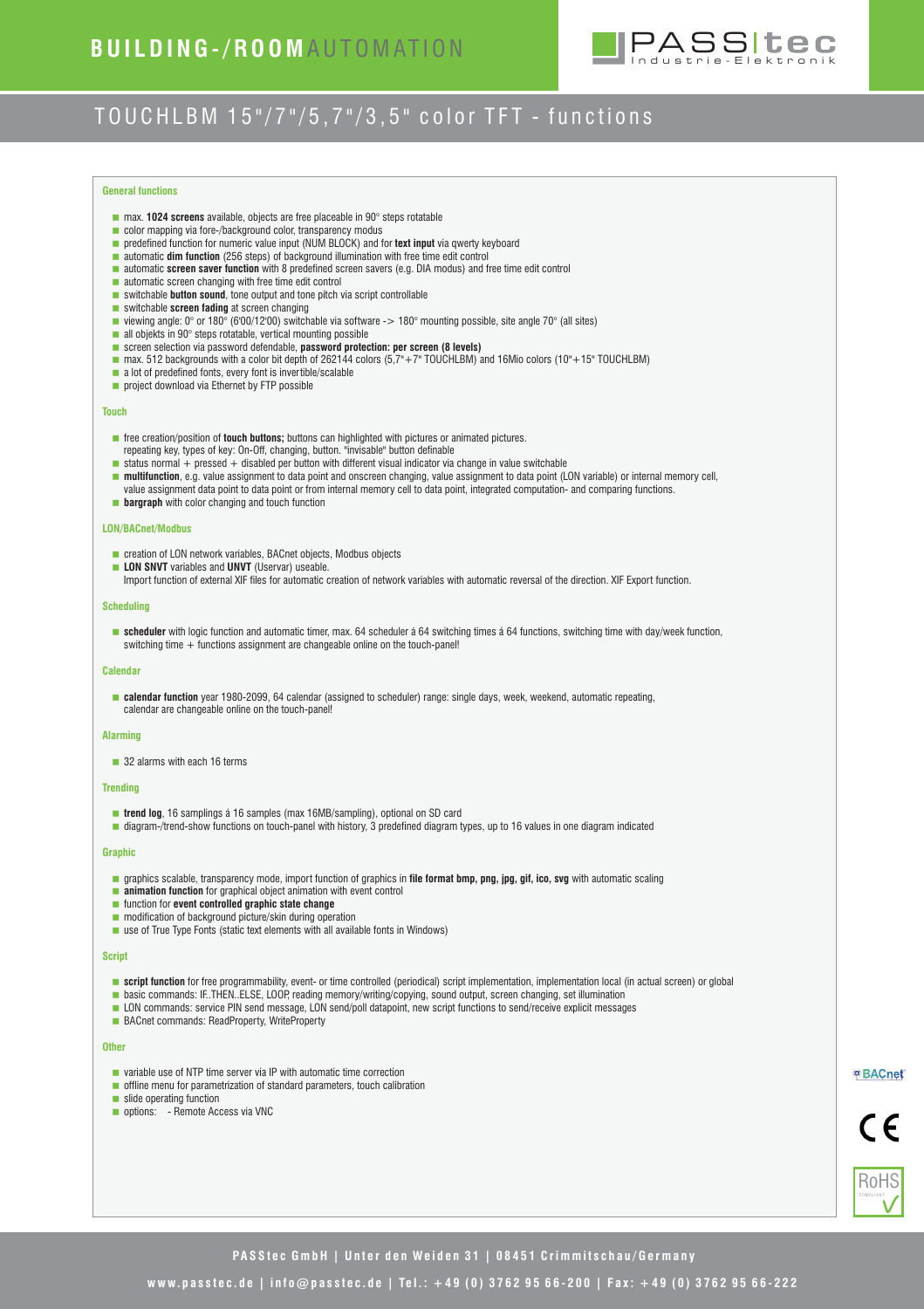

# TOUCHLBM 15"/7"/5.7"/3.5" color TFT - functions

### **General functions**

- max. **1024 screens** available, objects are free placeable in 90° steps rotatable
- **color mapping via fore-/background color, transparency modus**
- **predefined function for numeric value input (NUM BLOCK) and for <b>text input** via qwerty keyboard
- **automatic dim function** (256 steps) of background illumination with free time edit control
- < automatic **screen saver function** with 8 predefined screen savers (e.g. DIA modus) and free time edit control
- **a** automatic screen changing with free time edit control
- switchable **button sound**, tone output and tone pitch via script controllable
- **switchable screen fading** at screen changing
- viewing angle: 0° or 180° (6'00/12'00) switchable via software -> 180° mounting possible, site angle 70° (all sites)
- all objekts in 90° steps rotatable, vertical mounting possible
- **EXECTED SCREED SELECTION SERVICES 25 SERVICES SERVICES** SCREED (8 levels)
- $\blacksquare$  max. 512 backgrounds with a color bit depth of 262144 colors (5,7"+7" TOUCHLBM) and 16Mio colors (10"+15" TOUCHLBM)
- a lot of predefined fonts, every font is invertible/scalable
- **project download via Ethernet by FTP possible**

### **Touch**

- **free creation/position of <b>touch buttons;** buttons can highlighted with pictures or animated pictures. repeating key, types of key: On-Off, changing, button. "invisable" button definable
- $\blacksquare$  status normal + pressed + disabled per button with different visual indicator via change in value switchable
- < **multifunction**, e.g. value assignment to data point and onscreen changing, value assignment to data point (LON variable) or internal memory cell,
- value assignment data point to data point or from internal memory cell to data point, integrated computation- and comparing functions.
- **bargraph** with color changing and touch function

### **LON/BACnet/Modbus**

- creation of LON network variables, BACnet objects, Modbus objects
- **LON SNVT** variables and **UNVT** (Uservar) useable.
	- Import function of external XIF files for automatic creation of network variables with automatic reversal of the direction. XIF Export function.

### **Scheduling**

**scheduler** with logic function and automatic timer, max. 64 scheduler á 64 switching times á 64 functions, switching time with day/week function, switching time + functions assignment are changeable online on the touch-panel!

### **Calendar**

< **calendar function** year 1980-2099, 64 calendar (assigned to scheduler) range: single days, week, weekend, automatic repeating, calendar are changeable online on the touch-panel!

#### **Alarming**

■ 32 alarms with each 16 terms

#### **Trending**

- **trend log**, 16 samplings á 16 samples (max 16MB/sampling), optional on SD card
- diagram-/trend-show functions on touch-panel with history, 3 predefined diagram types, up to 16 values in one diagram indicated

### **Graphic**

- < graphics scalable, transparency mode, import function of graphics in **file format bmp, png, jpg, gif, ico, svg** with automatic scaling
- **animation function** for graphical object animation with event control
- **function for event controlled graphic state change**
- **m** modification of background picture/skin during operation
- use of True Type Fonts (static text elements with all available fonts in Windows)

### **Script**

- **script function** for free programmability, event- or time controlled (periodical) script implementation, implementation local (in actual screen) or global
- **basic commands: IF..THEN..ELSE, LOOP, reading memory/writing/copying, sound output, screen changing, set illumination**
- **LON** commands: service PIN send message, LON send/poll datapoint, new script functions to send/receive explicit messages
- BACnet commands: ReadProperty, WriteProperty

#### **Other**

- **u** variable use of NTP time server via IP with automatic time correction
- **offline menu for parametrization of standard parameters, touch calibration**
- slide operating function
- options: Remote Access via VNC



 $\epsilon$ 



**PASStec GmbH | Unter den Weiden 31 | 08451 Crimmitschau/Germany** 

## **w w w. p a s s t e c . d e | i n f o @ p a s s t e c . d e | Te l . : + 4 9 ( 0 ) 3 7 6 2 9 5 6 6 - 2 0 0 | F a x : + 4 9 ( 0 ) 3 7 6 2 9 5 6 6 - 2 2 2**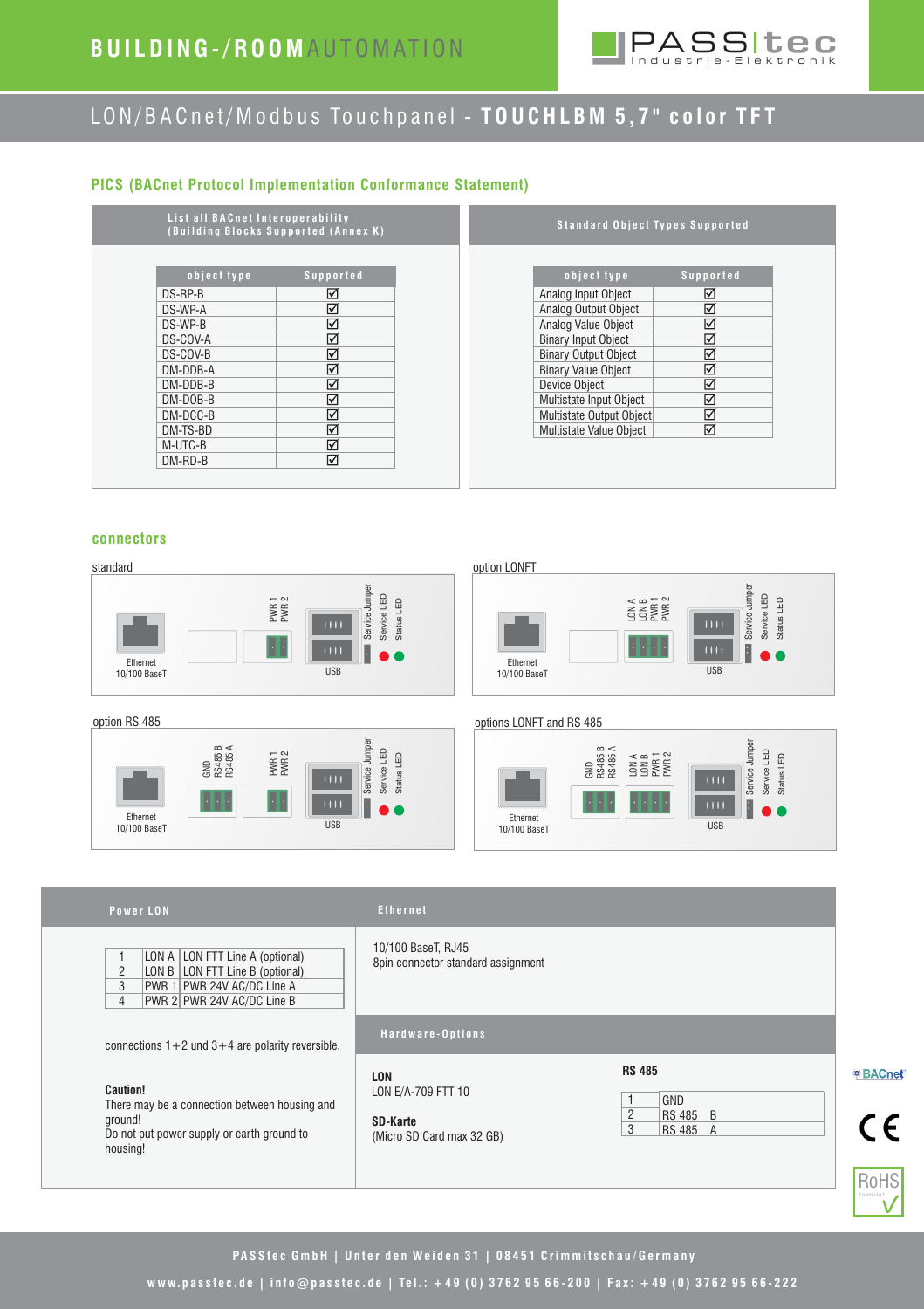# **B U I L D I N G - / R O O M** A U T O M AT I O N



# LON/BACnet/Modbus Touchpanel - TOUCHLBM 5,7" color TFT

# **PICS (BACnet Protocol Implementation Conformance Statement)**

| List all BACnet Interoperability<br>(Building Blocks Supported (Annex K) |                   |  | Standard Object Types Supported |                  |
|--------------------------------------------------------------------------|-------------------|--|---------------------------------|------------------|
| object type                                                              | <b>Supported</b>  |  | object type                     | <b>Supported</b> |
| DS-RP-B                                                                  | ☑                 |  | Analog Input Object             | ☑                |
| DS-WP-A                                                                  | ☑                 |  | Analog Output Object            | ☑                |
| DS-WP-B                                                                  | ☑                 |  | Analog Value Object             | ☑                |
| DS-COV-A                                                                 | $\triangledown$   |  | <b>Binary Input Object</b>      | ☑                |
| DS-COV-B                                                                 | ☑                 |  | <b>Binary Output Object</b>     | $\triangledown$  |
| DM-DDB-A                                                                 | ☑                 |  | <b>Binary Value Object</b>      | ☑                |
| DM-DDB-B                                                                 | ☑                 |  | Device Obiect                   | $\triangledown$  |
| DM-DOB-B                                                                 | ☑                 |  | Multistate Input Object         | ☑                |
| DM-DCC-B                                                                 | ☑                 |  | Multistate Output Object        | ☑                |
| DM-TS-BD                                                                 | $\overline{\vee}$ |  | Multistate Value Obiect         | ☑                |
| M-UTC-B                                                                  | ☑                 |  |                                 |                  |
| $DM-RD-B$                                                                | ☑                 |  |                                 |                  |

## **connectors**

### standard option LONFT Service Jumper Service Jumper Service LED Status LED PWR 1 PWR 2  $\overline{1111}$ **Ethernet USB** 10/100 BaseT



LON A | LON FTT Line A (optional) LON B | LON FTT Line B (optional) PWR 1 | PWR 24V AC/DC Line A PWR 24V AC/DC Line B PWR 2

connections  $1+2$  und  $3+4$  are polarity reversible.

There may be a connection between housing and

Do not put power supply or earth ground to



### option RS 485 options LONFT and RS 485



### **Power LON Ethernet**

**Caution!**

ground!

housing!

|  |  |  | Ethernet |
|--|--|--|----------|
|  |  |  |          |

10/100 BaseT, RJ45 8pin connector standard assignment

### **H a r d w a r e - O p t i o n s**

**LON** LON E/A-709 FTT 10

**SD-Karte** (Micro SD Card max 32 GB) **RS 485** 

|  | GND           |  |
|--|---------------|--|
|  | <b>RS 485</b> |  |
|  | <b>RS 48</b>  |  |



<sup>®</sup> BACnet



# PASStec GmbH | Unter den Weiden 31 | 08451 Crimmitschau/Germany

**w w w. p a s s t e c . d e | i n f o @ p a s s t e c . d e | Te l . : + 4 9 ( 0 ) 3 7 6 2 9 5 6 6 - 2 0 0 | F a x : + 4 9 ( 0 ) 3 7 6 2 9 5 6 6 - 2 2 2**